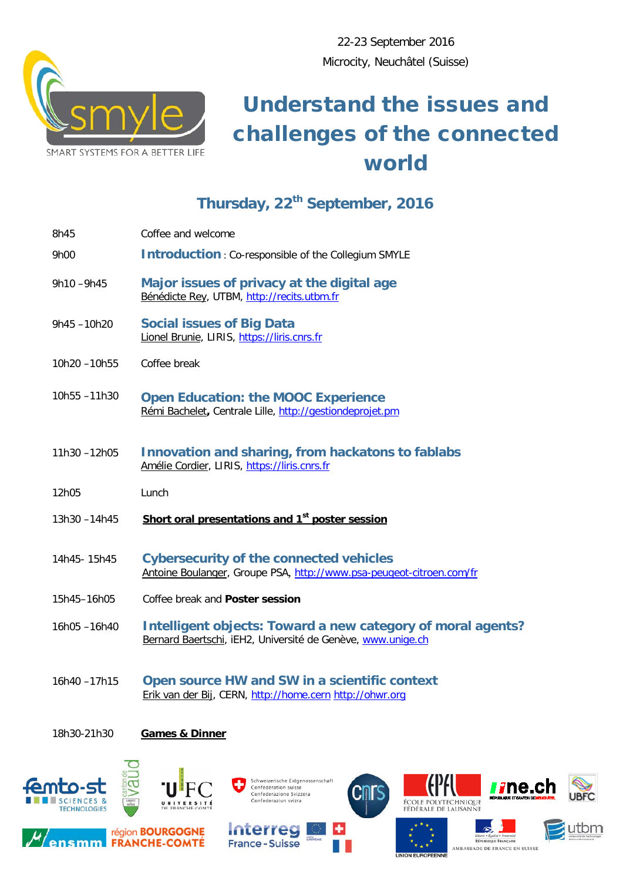

## Understand the issues and challenges of the connected world

## **Thursday, 22th September, 2016**

| 8h45        | Coffee and welcome                                                                                                         |
|-------------|----------------------------------------------------------------------------------------------------------------------------|
| 9h00        | <b>Introduction: Co-responsible of the Collegium SMYLE</b>                                                                 |
| 9h10-9h45   | Major issues of privacy at the digital age<br>Bénédicte Rey, UTBM, http://recits.utbm.fr                                   |
| 9h45-10h20  | <b>Social issues of Big Data</b><br>Lionel Brunie, LIRIS, https://liris.cnrs.fr                                            |
| 10h20-10h55 | Coffee break                                                                                                               |
| 10h55-11h30 | <b>Open Education: the MOOC Experience</b><br>Rémi Bachelet, Centrale Lille, http://gestiondeprojet.pm                     |
| 11h30-12h05 | Innovation and sharing, from hackatons to fablabs<br>Amélie Cordier, LIRIS, https://liris.cnrs.fr                          |
| 12h05       | Lunch                                                                                                                      |
| 13h30-14h45 | Short oral presentations and 1 <sup>st</sup> poster session                                                                |
| 14h45-15h45 | <b>Cybersecurity of the connected vehicles</b><br>Antoine Boulanger, Groupe PSA, http://www.psa-peugeot-citroen.com/fr     |
| 15h45-16h05 | Coffee break and Poster session                                                                                            |
| 16h05-16h40 | Intelligent objects: Toward a new category of moral agents?<br>Bernard Baertschi, iEH2, Université de Genève, www.unige.ch |
| 16h40-17h15 | Open source HW and SW in a scientific context<br>Erik van der Bij, CERN, http://home.cern http://ohwr.org                  |

18h30-21h30 **Games & Dinner**





région **BOURGOGNE** 

**ensmm FRANCHE-COMTÉ** 





**KIPFU** 





Liberté = Égalité = Fraternisé<br>RÉPUBLIQUE FRANÇAISE AMBASSADE DE FRANCE EN SUISSE **UNION EUROPEENNE**